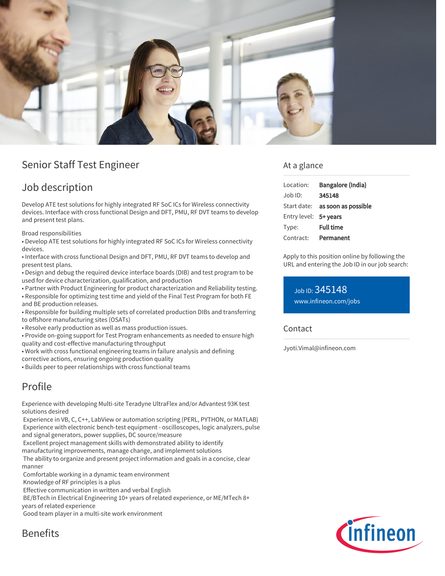

## Senior Staff Test Engineer

## Job description

Develop ATE test solutions for highly integrated RF SoC ICs for Wireless connectivity devices. Interface with cross functional Design and DFT, PMU, RF DVT teams to develop and present test plans.

Broad responsibilities

• Develop ATE test solutions for highly integrated RF SoC ICs for Wireless connectivity devices.

• Interface with cross functional Design and DFT, PMU, RF DVT teams to develop and present test plans.

• Design and debug the required device interface boards (DIB) and test program to be used for device characterization, qualification, and production

• Partner with Product Engineering for product characterization and Reliability testing. • Responsible for optimizing test time and yield of the Final Test Program for both FE

and BE production releases.

• Responsible for building multiple sets of correlated production DIBs and transferring to offshore manufacturing sites (OSATs)

• Resolve early production as well as mass production issues.

• Provide on-going support for Test Program enhancements as needed to ensure high quality and cost-effective manufacturing throughput

• Work with cross functional engineering teams in failure analysis and defining corrective actions, ensuring ongoing production quality

• Builds peer to peer relationships with cross functional teams

# Profile

Experience with developing Multi-site Teradyne UltraFlex and/or Advantest 93K test solutions desired

 Experience in VB, C, C++, LabView or automation scripting (PERL, PYTHON, or MATLAB) Experience with electronic bench-test equipment - oscilloscopes, logic analyzers, pulse and signal generators, power supplies, DC source/measure

Excellent project management skills with demonstrated ability to identify

manufacturing improvements, manage change, and implement solutions

 The ability to organize and present project information and goals in a concise, clear manner

Comfortable working in a dynamic team environment

Knowledge of RF principles is a plus

Effective communication in written and verbal English

BE/BTech in Electrical Engineering 10+ years of related experience, or ME/MTech 8+

years of related experience

Good team player in a multi-site work environment

**Benefits** 

### At a glance

| Location:             | Bangalore (India)                      |
|-----------------------|----------------------------------------|
| $Job$ ID:             | 345148                                 |
|                       | Start date: <b>as soon as possible</b> |
| Entry level: 5+ years |                                        |
| Type:                 | <b>Full time</b>                       |
| Contract:             | Permanent                              |
|                       |                                        |

Apply to this position online by following the URL and entering the Job ID in our job search:

Job ID: 345148 [www.infineon.com/jobs](https://www.infineon.com/jobs)

**Contact** 

Jyoti.Vimal@infineon.com